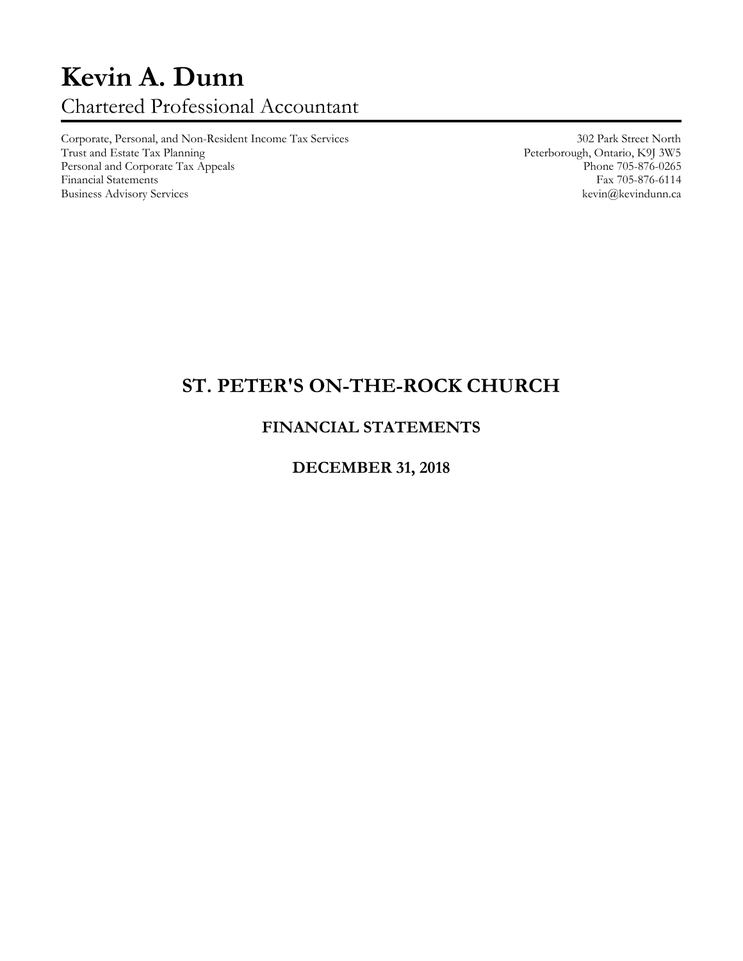# **Kevin A. Dunn** Chartered Professional Accountant

Corporate, Personal, and Non-Resident Income Tax Services 302 Park Street North Personal and Corporate Tax Appeals Phone 705-876-0265<br>
Phone 705-876-0265<br>
Pax 705-876-6114 Financial Statements Fax 705-876-6114<br>Business Advisory Services Revinanceae Revinanceae Revinanceae Revinanceae Revinanceae Revinanceae Revinanceae Business Advisory Services

Peterborough, Ontario, K9J 3W5<br>Phone 705-876-0265

## **ST. PETER'S ON-THE-ROCK CHURCH**

### **FINANCIAL STATEMENTS**

#### **DECEMBER 31, 2018**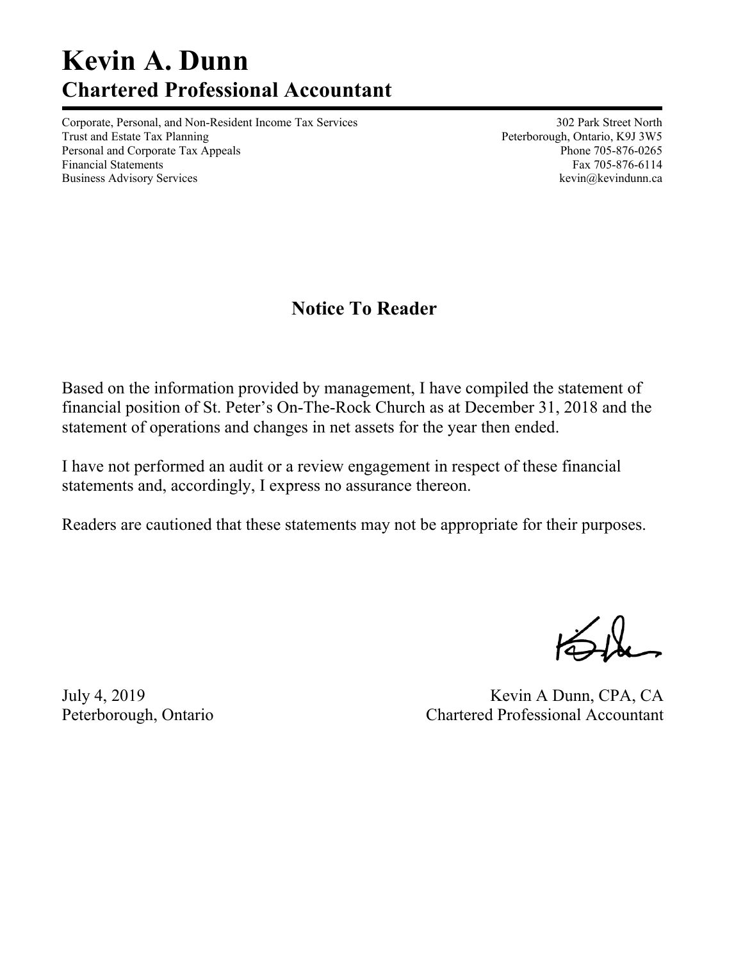# **Kevin A. Dunn Chartered Professional Accountant**

Corporate, Personal, and Non-Resident Income Tax Services 302 Park Street North Trust and Estate Tax Planning Trust and Estate Tax Planning Peterborough, Ontario, K9J 3W5 Personal and Corporate Tax Appeals **Phone 705-876-0265** Phone 705-876-0265 Financial Statements Fax 705-876-6114 Business Advisory Services and the service of the service of the service of the service of the service of the service of the service of the service of the service of the service of the service of the service of the service

## **Notice To Reader**

Based on the information provided by management, I have compiled the statement of financial position of St. Peter's On-The-Rock Church as at December 31, 2018 and the statement of operations and changes in net assets for the year then ended.

I have not performed an audit or a review engagement in respect of these financial statements and, accordingly, I express no assurance thereon.

Readers are cautioned that these statements may not be appropriate for their purposes.

July 4, 2019 Kevin A Dunn, CPA, CA Peterborough, Ontario Chartered Professional Accountant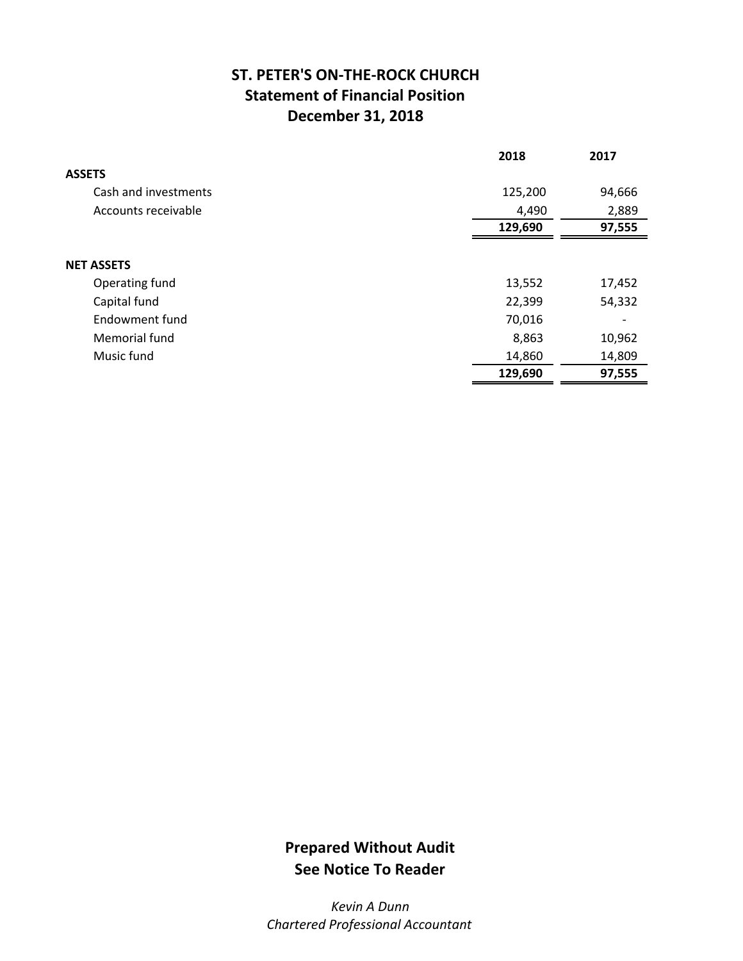### **ST. PETER'S ON‐THE‐ROCK CHURCH Statement of Financial Position December 31, 2018**

|                      | 2018    | 2017   |
|----------------------|---------|--------|
| <b>ASSETS</b>        |         |        |
| Cash and investments | 125,200 | 94,666 |
| Accounts receivable  | 4,490   | 2,889  |
|                      | 129,690 | 97,555 |
|                      |         |        |
| <b>NET ASSETS</b>    |         |        |
| Operating fund       | 13,552  | 17,452 |
| Capital fund         | 22,399  | 54,332 |
| Endowment fund       | 70,016  |        |
| Memorial fund        | 8,863   | 10,962 |
| Music fund           | 14,860  | 14,809 |
|                      | 129,690 | 97,555 |

## **Prepared Without Audit See Notice To Reader**

*Kevin A Dunn Chartered Professional Accountant*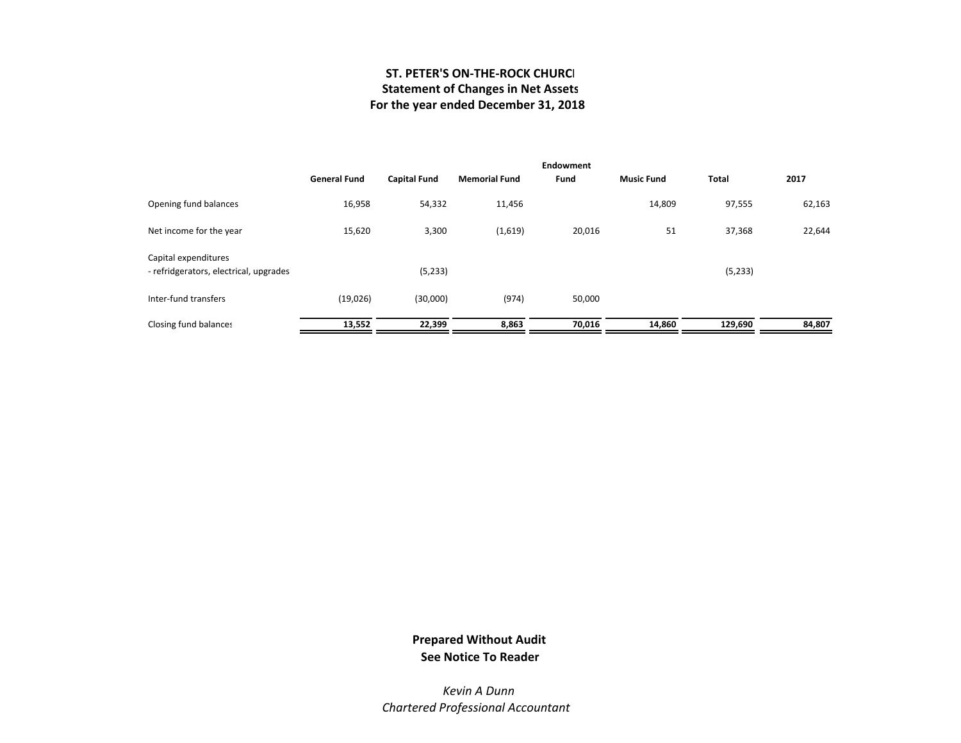#### **ST. PETER'S ON‐THE‐ROCK CHURCH Statement of Changes in Net Assets For the year ended December 31, 2018**

|                                                                | <b>General Fund</b> | <b>Capital Fund</b> | <b>Memorial Fund</b> | Endowment<br>Fund | <b>Music Fund</b> | <b>Total</b> | 2017   |
|----------------------------------------------------------------|---------------------|---------------------|----------------------|-------------------|-------------------|--------------|--------|
| Opening fund balances                                          | 16,958              | 54,332              | 11,456               |                   | 14,809            | 97,555       | 62,163 |
| Net income for the year                                        | 15,620              | 3,300               | (1,619)              | 20,016            | 51                | 37,368       | 22,644 |
| Capital expenditures<br>- refridgerators, electrical, upgrades |                     | (5, 233)            |                      |                   |                   | (5,233)      |        |
| Inter-fund transfers                                           | (19,026)            | (30,000)            | (974)                | 50,000            |                   |              |        |
| Closing fund balances                                          | 13,552              | 22,399              | 8,863                | 70,016            | 14,860            | 129,690      | 84,807 |

#### **Prepared Without Audit See Notice To Reader**

*Kevin A Dunn Chartered Professional Accountant*